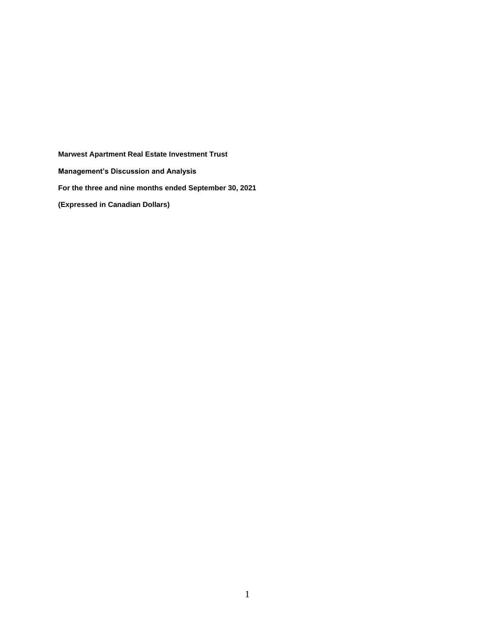**Marwest Apartment Real Estate Investment Trust Management's Discussion and Analysis For the three and nine months ended September 30, 2021 (Expressed in Canadian Dollars)**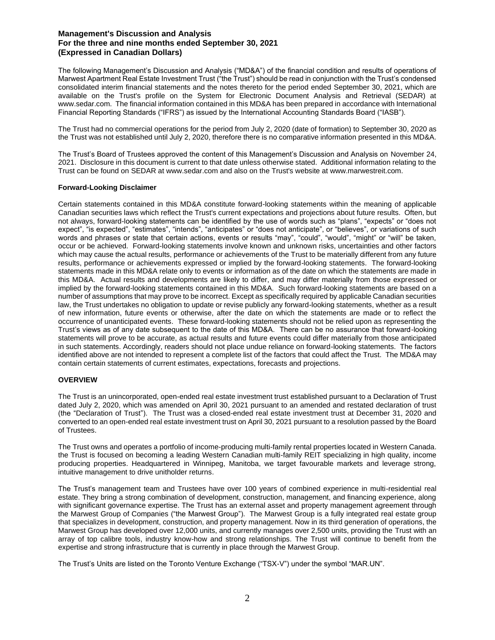The following Management's Discussion and Analysis ("MD&A") of the financial condition and results of operations of Marwest Apartment Real Estate Investment Trust ("the Trust") should be read in conjunction with the Trust's condensed consolidated interim financial statements and the notes thereto for the period ended September 30, 2021, which are available on the Trust's profile on the System for Electronic Document Analysis and Retrieval (SEDAR) at www.sedar.com. The financial information contained in this MD&A has been prepared in accordance with International Financial Reporting Standards ("IFRS") as issued by the International Accounting Standards Board ("IASB").

The Trust had no commercial operations for the period from July 2, 2020 (date of formation) to September 30, 2020 as the Trust was not established until July 2, 2020, therefore there is no comparative information presented in this MD&A.

The Trust's Board of Trustees approved the content of this Management's Discussion and Analysis on November 24, 2021. Disclosure in this document is current to that date unless otherwise stated. Additional information relating to the Trust can be found on SEDAR at www.sedar.com and also on the Trust's website at www.marwestreit.com.

### **Forward-Looking Disclaimer**

Certain statements contained in this MD&A constitute forward-looking statements within the meaning of applicable Canadian securities laws which reflect the Trust's current expectations and projections about future results. Often, but not always, forward-looking statements can be identified by the use of words such as "plans", "expects" or "does not expect", "is expected", "estimates", "intends", "anticipates" or "does not anticipate", or "believes", or variations of such words and phrases or state that certain actions, events or results "may", "could", "would", "might" or "will" be taken, occur or be achieved. Forward-looking statements involve known and unknown risks, uncertainties and other factors which may cause the actual results, performance or achievements of the Trust to be materially different from any future results, performance or achievements expressed or implied by the forward-looking statements. The forward-looking statements made in this MD&A relate only to events or information as of the date on which the statements are made in this MD&A. Actual results and developments are likely to differ, and may differ materially from those expressed or implied by the forward-looking statements contained in this MD&A. Such forward-looking statements are based on a number of assumptions that may prove to be incorrect. Except as specifically required by applicable Canadian securities law, the Trust undertakes no obligation to update or revise publicly any forward-looking statements, whether as a result of new information, future events or otherwise, after the date on which the statements are made or to reflect the occurrence of unanticipated events. These forward-looking statements should not be relied upon as representing the Trust's views as of any date subsequent to the date of this MD&A. There can be no assurance that forward-looking statements will prove to be accurate, as actual results and future events could differ materially from those anticipated in such statements. Accordingly, readers should not place undue reliance on forward-looking statements. The factors identified above are not intended to represent a complete list of the factors that could affect the Trust. The MD&A may contain certain statements of current estimates, expectations, forecasts and projections.

### **OVERVIEW**

The Trust is an unincorporated, open-ended real estate investment trust established pursuant to a Declaration of Trust dated July 2, 2020, which was amended on April 30, 2021 pursuant to an amended and restated declaration of trust (the "Declaration of Trust"). The Trust was a closed-ended real estate investment trust at December 31, 2020 and converted to an open-ended real estate investment trust on April 30, 2021 pursuant to a resolution passed by the Board of Trustees.

The Trust owns and operates a portfolio of income-producing multi-family rental properties located in Western Canada. the Trust is focused on becoming a leading Western Canadian multi-family REIT specializing in high quality, income producing properties. Headquartered in Winnipeg, Manitoba, we target favourable markets and leverage strong, intuitive management to drive unitholder returns.

The Trust's management team and Trustees have over 100 years of combined experience in multi-residential real estate. They bring a strong combination of development, construction, management, and financing experience, along with significant governance expertise. The Trust has an external asset and property management agreement through the Marwest Group of Companies ("the Marwest Group"). The Marwest Group is a fully integrated real estate group that specializes in development, construction, and property management. Now in its third generation of operations, the Marwest Group has developed over 12,000 units, and currently manages over 2,500 units, providing the Trust with an array of top calibre tools, industry know-how and strong relationships. The Trust will continue to benefit from the expertise and strong infrastructure that is currently in place through the Marwest Group.

The Trust's Units are listed on the Toronto Venture Exchange ("TSX-V") under the symbol "MAR.UN".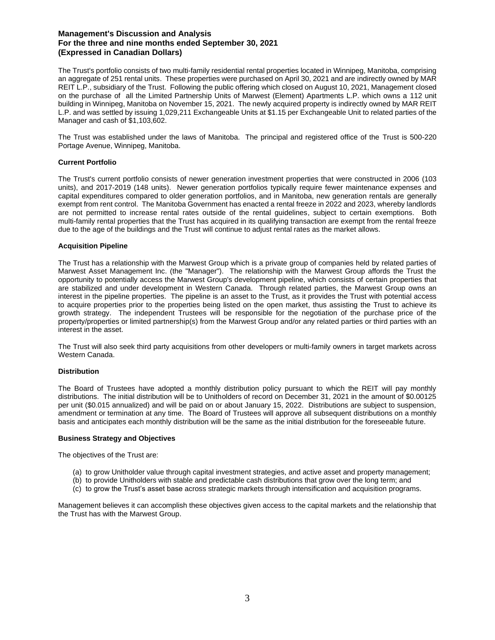The Trust's portfolio consists of two multi-family residential rental properties located in Winnipeg, Manitoba, comprising an aggregate of 251 rental units. These properties were purchased on April 30, 2021 and are indirectly owned by MAR REIT L.P., subsidiary of the Trust. Following the public offering which closed on August 10, 2021, Management closed on the purchase of all the Limited Partnership Units of Marwest (Element) Apartments L.P. which owns a 112 unit building in Winnipeg, Manitoba on November 15, 2021. The newly acquired property is indirectly owned by MAR REIT L.P. and was settled by issuing 1,029,211 Exchangeable Units at \$1.15 per Exchangeable Unit to related parties of the Manager and cash of \$1,103,602.

The Trust was established under the laws of Manitoba. The principal and registered office of the Trust is 500-220 Portage Avenue, Winnipeg, Manitoba.

## **Current Portfolio**

The Trust's current portfolio consists of newer generation investment properties that were constructed in 2006 (103 units), and 2017-2019 (148 units). Newer generation portfolios typically require fewer maintenance expenses and capital expenditures compared to older generation portfolios, and in Manitoba, new generation rentals are generally exempt from rent control. The Manitoba Government has enacted a rental freeze in 2022 and 2023, whereby landlords are not permitted to increase rental rates outside of the rental guidelines, subject to certain exemptions. Both multi-family rental properties that the Trust has acquired in its qualifying transaction are exempt from the rental freeze due to the age of the buildings and the Trust will continue to adjust rental rates as the market allows.

### **Acquisition Pipeline**

The Trust has a relationship with the Marwest Group which is a private group of companies held by related parties of Marwest Asset Management Inc. (the "Manager"). The relationship with the Marwest Group affords the Trust the opportunity to potentially access the Marwest Group's development pipeline, which consists of certain properties that are stabilized and under development in Western Canada. Through related parties, the Marwest Group owns an interest in the pipeline properties. The pipeline is an asset to the Trust, as it provides the Trust with potential access to acquire properties prior to the properties being listed on the open market, thus assisting the Trust to achieve its growth strategy. The independent Trustees will be responsible for the negotiation of the purchase price of the property/properties or limited partnership(s) from the Marwest Group and/or any related parties or third parties with an interest in the asset.

The Trust will also seek third party acquisitions from other developers or multi-family owners in target markets across Western Canada.

### **Distribution**

The Board of Trustees have adopted a monthly distribution policy pursuant to which the REIT will pay monthly distributions. The initial distribution will be to Unitholders of record on December 31, 2021 in the amount of \$0.00125 per unit (\$0.015 annualized) and will be paid on or about January 15, 2022. Distributions are subject to suspension, amendment or termination at any time. The Board of Trustees will approve all subsequent distributions on a monthly basis and anticipates each monthly distribution will be the same as the initial distribution for the foreseeable future.

#### **Business Strategy and Objectives**

The objectives of the Trust are:

- (a) to grow Unitholder value through capital investment strategies, and active asset and property management;
- (b) to provide Unitholders with stable and predictable cash distributions that grow over the long term; and
- (c) to grow the Trust's asset base across strategic markets through intensification and acquisition programs.

Management believes it can accomplish these objectives given access to the capital markets and the relationship that the Trust has with the Marwest Group.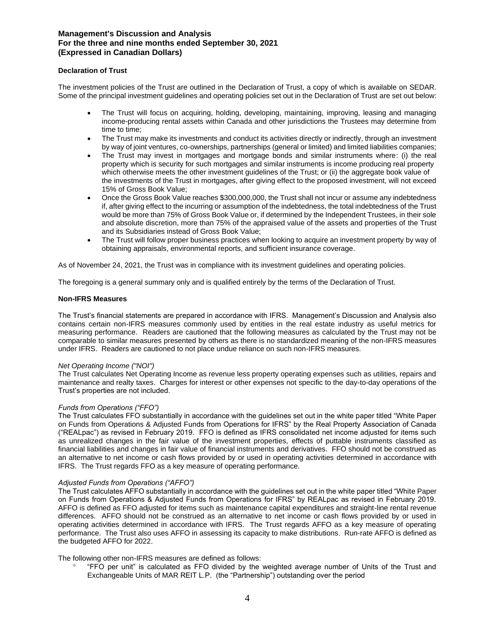## **Declaration of Trust**

The investment policies of the Trust are outlined in the Declaration of Trust, a copy of which is available on SEDAR. Some of the principal investment guidelines and operating policies set out in the Declaration of Trust are set out below:

- The Trust will focus on acquiring, holding, developing, maintaining, improving, leasing and managing income-producing rental assets within Canada and other jurisdictions the Trustees may determine from time to time;
- The Trust may make its investments and conduct its activities directly or indirectly, through an investment by way of joint ventures, co-ownerships, partnerships (general or limited) and limited liabilities companies;
- The Trust may invest in mortgages and mortgage bonds and similar instruments where: (i) the real property which is security for such mortgages and similar instruments is income producing real property which otherwise meets the other investment guidelines of the Trust; or (ii) the aggregate book value of the investments of the Trust in mortgages, after giving effect to the proposed investment, will not exceed 15% of Gross Book Value;
- Once the Gross Book Value reaches \$300,000,000, the Trust shall not incur or assume any indebtedness if, after giving effect to the incurring or assumption of the indebtedness, the total indebtedness of the Trust would be more than 75% of Gross Book Value or, if determined by the Independent Trustees, in their sole and absolute discretion, more than 75% of the appraised value of the assets and properties of the Trust and its Subsidiaries instead of Gross Book Value;
- The Trust will follow proper business practices when looking to acquire an investment property by way of obtaining appraisals, environmental reports, and sufficient insurance coverage.

As of November 24, 2021, the Trust was in compliance with its investment guidelines and operating policies.

The foregoing is a general summary only and is qualified entirely by the terms of the Declaration of Trust.

#### **Non-IFRS Measures**

The Trust's financial statements are prepared in accordance with IFRS. Management's Discussion and Analysis also contains certain non-IFRS measures commonly used by entities in the real estate industry as useful metrics for measuring performance. Readers are cautioned that the following measures as calculated by the Trust may not be comparable to similar measures presented by others as there is no standardized meaning of the non-IFRS measures under IFRS. Readers are cautioned to not place undue reliance on such non-IFRS measures.

### *Net Operating Income ("NOI")*

The Trust calculates Net Operating Income as revenue less property operating expenses such as utilities, repairs and maintenance and realty taxes. Charges for interest or other expenses not specific to the day-to-day operations of the Trust's properties are not included.

#### *Funds from Operations ("FFO")*

The Trust calculates FFO substantially in accordance with the guidelines set out in the white paper titled "White Paper on Funds from Operations & Adjusted Funds from Operations for IFRS" by the Real Property Association of Canada ("REALpac") as revised in February 2019. FFO is defined as IFRS consolidated net income adjusted for items such as unrealized changes in the fair value of the investment properties, effects of puttable instruments classified as financial liabilities and changes in fair value of financial instruments and derivatives. FFO should not be construed as an alternative to net income or cash flows provided by or used in operating activities determined in accordance with IFRS. The Trust regards FFO as a key measure of operating performance.

#### *Adjusted Funds from Operations ("AFFO")*

The Trust calculates AFFO substantially in accordance with the guidelines set out in the white paper titled "White Paper on Funds from Operations & Adjusted Funds from Operations for IFRS" by REALpac as revised in February 2019. AFFO is defined as FFO adjusted for items such as maintenance capital expenditures and straight-line rental revenue differences. AFFO should not be construed as an alternative to net income or cash flows provided by or used in operating activities determined in accordance with IFRS. The Trust regards AFFO as a key measure of operating performance. The Trust also uses AFFO in assessing its capacity to make distributions. Run-rate AFFO is defined as the budgeted AFFO for 2022.

The following other non-IFRS measures are defined as follows:

 "FFO per unit" is calculated as FFO divided by the weighted average number of Units of the Trust and Exchangeable Units of MAR REIT L.P. (the "Partnership") outstanding over the period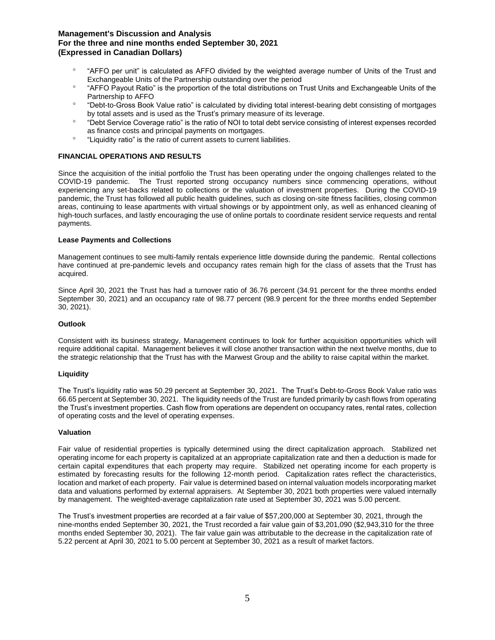- "AFFO per unit" is calculated as AFFO divided by the weighted average number of Units of the Trust and Exchangeable Units of the Partnership outstanding over the period
- <sup>o</sup> "AFFO Payout Ratio" is the proportion of the total distributions on Trust Units and Exchangeable Units of the Partnership to AFFO
- <sup>o</sup> "Debt-to-Gross Book Value ratio" is calculated by dividing total interest-bearing debt consisting of mortgages by total assets and is used as the Trust's primary measure of its leverage.
- <sup>o</sup> "Debt Service Coverage ratio" is the ratio of NOI to total debt service consisting of interest expenses recorded as finance costs and principal payments on mortgages.
- <sup>o</sup> "Liquidity ratio" is the ratio of current assets to current liabilities.

## **FINANCIAL OPERATIONS AND RESULTS**

Since the acquisition of the initial portfolio the Trust has been operating under the ongoing challenges related to the COVID-19 pandemic. The Trust reported strong occupancy numbers since commencing operations, without experiencing any set-backs related to collections or the valuation of investment properties. During the COVID-19 pandemic, the Trust has followed all public health guidelines, such as closing on-site fitness facilities, closing common areas, continuing to lease apartments with virtual showings or by appointment only, as well as enhanced cleaning of high-touch surfaces, and lastly encouraging the use of online portals to coordinate resident service requests and rental payments.

### **Lease Payments and Collections**

Management continues to see multi-family rentals experience little downside during the pandemic. Rental collections have continued at pre-pandemic levels and occupancy rates remain high for the class of assets that the Trust has acquired.

Since April 30, 2021 the Trust has had a turnover ratio of 36.76 percent (34.91 percent for the three months ended September 30, 2021) and an occupancy rate of 98.77 percent (98.9 percent for the three months ended September 30, 2021).

### **Outlook**

Consistent with its business strategy, Management continues to look for further acquisition opportunities which will require additional capital. Management believes it will close another transaction within the next twelve months, due to the strategic relationship that the Trust has with the Marwest Group and the ability to raise capital within the market.

### **Liquidity**

The Trust's liquidity ratio was 50.29 percent at September 30, 2021. The Trust's Debt-to-Gross Book Value ratio was 66.65 percent at September 30, 2021. The liquidity needs of the Trust are funded primarily by cash flows from operating the Trust's investment properties. Cash flow from operations are dependent on occupancy rates, rental rates, collection of operating costs and the level of operating expenses.

#### **Valuation**

Fair value of residential properties is typically determined using the direct capitalization approach. Stabilized net operating income for each property is capitalized at an appropriate capitalization rate and then a deduction is made for certain capital expenditures that each property may require. Stabilized net operating income for each property is estimated by forecasting results for the following 12-month period. Capitalization rates reflect the characteristics, location and market of each property. Fair value is determined based on internal valuation models incorporating market data and valuations performed by external appraisers. At September 30, 2021 both properties were valued internally by management. The weighted-average capitalization rate used at September 30, 2021 was 5.00 percent.

The Trust's investment properties are recorded at a fair value of \$57,200,000 at September 30, 2021, through the nine-months ended September 30, 2021, the Trust recorded a fair value gain of \$3,201,090 (\$2,943,310 for the three months ended September 30, 2021). The fair value gain was attributable to the decrease in the capitalization rate of 5.22 percent at April 30, 2021 to 5.00 percent at September 30, 2021 as a result of market factors.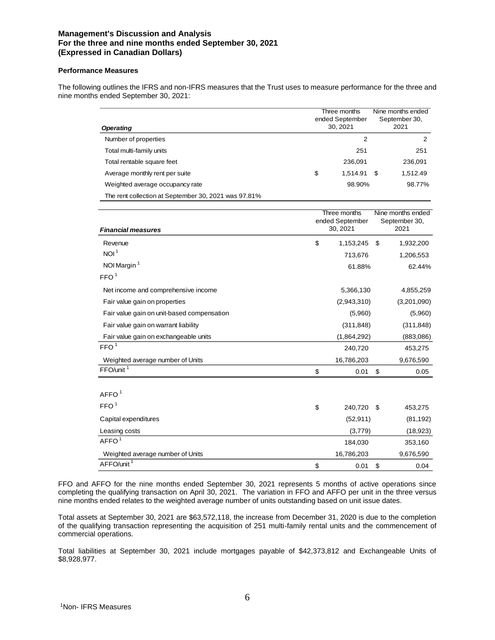## **Performance Measures**

The following outlines the IFRS and non-IFRS measures that the Trust uses to measure performance for the three and nine months ended September 30, 2021:

| <b>Operating</b>                                     | Three months<br>ended September<br>30.2021 |          |     | Nine months ended<br>September 30,<br>2021 |  |  |  |
|------------------------------------------------------|--------------------------------------------|----------|-----|--------------------------------------------|--|--|--|
| Number of properties                                 |                                            | 2        |     | 2                                          |  |  |  |
| Total multi-family units                             |                                            | 251      |     | 251                                        |  |  |  |
| Total rentable square feet                           |                                            | 236,091  |     | 236,091                                    |  |  |  |
| Average monthly rent per suite                       | \$                                         | 1.514.91 | \$. | 1,512.49                                   |  |  |  |
| Weighted average occupancy rate                      |                                            | 98.90%   |     | 98.77%                                     |  |  |  |
| The rent collection at September 30, 2021 was 97.81% |                                            |          |     |                                            |  |  |  |

|                                            |                             | Three months | Nine months ended<br>September 30, |             |  |
|--------------------------------------------|-----------------------------|--------------|------------------------------------|-------------|--|
| <b>Financial measures</b>                  | ended September<br>30, 2021 |              |                                    |             |  |
| Revenue                                    | \$                          | 1,153,245    | \$                                 | 1,932,200   |  |
| NOI <sup>1</sup>                           |                             | 713,676      |                                    | 1,206,553   |  |
| NOI Margin <sup>1</sup>                    |                             | 61.88%       |                                    | 62.44%      |  |
| FFO <sup>1</sup>                           |                             |              |                                    |             |  |
| Net income and comprehensive income        |                             | 5,366,130    |                                    | 4,855,259   |  |
| Fair value gain on properties              |                             | (2,943,310)  |                                    | (3,201,090) |  |
| Fair value gain on unit-based compensation |                             | (5,960)      |                                    | (5,960)     |  |
| Fair value gain on warrant liability       |                             | (311, 848)   |                                    | (311, 848)  |  |
| Fair value gain on exchangeable units      |                             | (1,864,292)  |                                    | (883,086)   |  |
| FFO <sup>1</sup>                           |                             | 240,720      |                                    | 453,275     |  |
| Weighted average number of Units           |                             | 16,786,203   |                                    | 9,676,590   |  |
| $FFO/unit$ <sup>1</sup>                    | \$                          | 0.01         | \$                                 | 0.05        |  |
| AFFO <sup>1</sup>                          |                             |              |                                    |             |  |
| FFO <sup>1</sup>                           | \$                          | 240,720 \$   |                                    | 453,275     |  |
| Capital expenditures                       |                             | (52, 911)    |                                    | (81, 192)   |  |
| Leasing costs                              |                             | (3,779)      |                                    | (18, 923)   |  |
| AFFO <sup>1</sup>                          |                             | 184,030      |                                    | 353,160     |  |
| Weighted average number of Units           |                             | 16,786,203   |                                    | 9,676,590   |  |
| AFFO/unit <sup>1</sup>                     | \$                          | 0.01         | \$                                 | 0.04        |  |

FFO and AFFO for the nine months ended September 30, 2021 represents 5 months of active operations since completing the qualifying transaction on April 30, 2021. The variation in FFO and AFFO per unit in the three versus nine months ended relates to the weighted average number of units outstanding based on unit issue dates.

Total assets at September 30, 2021 are \$63,572,118, the increase from December 31, 2020 is due to the completion of the qualifying transaction representing the acquisition of 251 multi-family rental units and the commencement of commercial operations.

Total liabilities at September 30, 2021 include mortgages payable of \$42,373,812 and Exchangeable Units of \$8,928,977.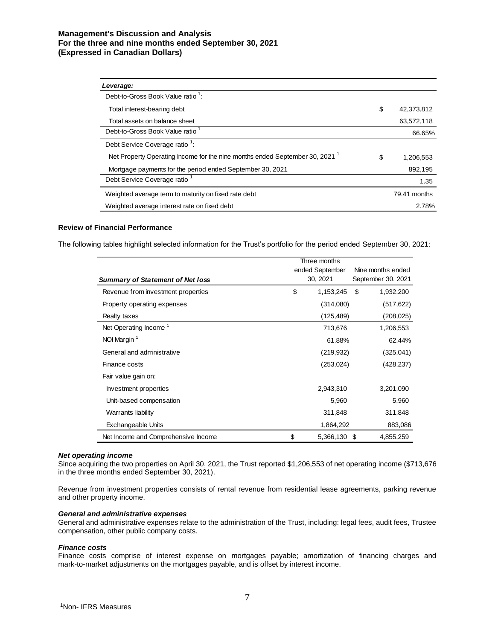| Leverage:                                                                               |                  |
|-----------------------------------------------------------------------------------------|------------------|
| Debt-to-Gross Book Value ratio <sup>1</sup> :                                           |                  |
| Total interest-bearing debt                                                             | \$<br>42.373.812 |
| Total assets on balance sheet                                                           | 63,572,118       |
| Debt-to-Gross Book Value ratio <sup>1</sup>                                             | 66.65%           |
| Debt Service Coverage ratio <sup>1</sup> :                                              |                  |
| Net Property Operating Income for the nine months ended September 30, 2021 <sup>1</sup> | \$<br>1,206,553  |
| Mortgage payments for the period ended September 30, 2021                               | 892,195          |
| Debt Service Coverage ratio <sup>1</sup>                                                | 1.35             |
| Weighted average term to maturity on fixed rate debt                                    | 79.41 months     |
| Weighted average interest rate on fixed debt                                            | 2.78%            |

### **Review of Financial Performance**

The following tables highlight selected information for the Trust's portfolio for the period ended September 30, 2021:

|                                         | Three months |                 |                    |  |  |  |  |
|-----------------------------------------|--------------|-----------------|--------------------|--|--|--|--|
|                                         |              | ended September | Nine months ended  |  |  |  |  |
| <b>Summary of Statement of Net loss</b> |              | 30, 2021        | September 30, 2021 |  |  |  |  |
| Revenue from investment properties      | \$           | 1,153,245       | \$<br>1,932,200    |  |  |  |  |
| Property operating expenses             |              | (314,080)       | (517, 622)         |  |  |  |  |
| Realty taxes                            |              | (125, 489)      | (208,025)          |  |  |  |  |
| Net Operating Income <sup>1</sup>       |              | 713,676         | 1,206,553          |  |  |  |  |
| NOI Margin <sup>1</sup>                 |              | 61.88%          | 62.44%             |  |  |  |  |
| General and administrative              |              | (219, 932)      | (325,041)          |  |  |  |  |
| Finance costs                           |              | (253, 024)      | (428, 237)         |  |  |  |  |
| Fair value gain on:                     |              |                 |                    |  |  |  |  |
| Investment properties                   |              | 2,943,310       | 3,201,090          |  |  |  |  |
| Unit-based compensation                 |              | 5,960           | 5,960              |  |  |  |  |
| Warrants liability                      |              | 311,848         | 311,848            |  |  |  |  |
| <b>Exchangeable Units</b>               |              | 1,864,292       | 883,086            |  |  |  |  |
| Net Income and Comprehensive Income     | \$           | 5,366,130 \$    | 4,855,259          |  |  |  |  |

#### *Net operating income*

Since acquiring the two properties on April 30, 2021, the Trust reported \$1,206,553 of net operating income (\$713,676 in the three months ended September 30, 2021).

Revenue from investment properties consists of rental revenue from residential lease agreements, parking revenue and other property income.

### *General and administrative expenses*

General and administrative expenses relate to the administration of the Trust, including: legal fees, audit fees, Trustee compensation, other public company costs.

#### *Finance costs*

Finance costs comprise of interest expense on mortgages payable; amortization of financing charges and mark-to-market adjustments on the mortgages payable, and is offset by interest income.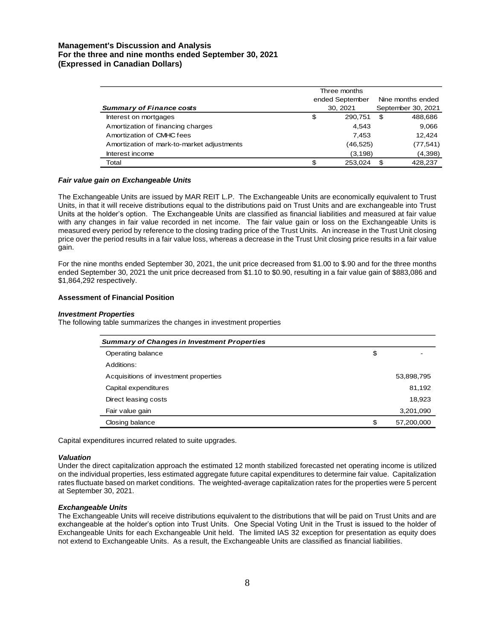|                                            | Three months                         |          |    |                    |  |  |
|--------------------------------------------|--------------------------------------|----------|----|--------------------|--|--|
|                                            | ended September<br>Nine months ended |          |    |                    |  |  |
| <b>Summary of Finance costs</b>            |                                      | 30, 2021 |    | September 30, 2021 |  |  |
| Interest on mortgages                      | \$                                   | 290.751  | \$ | 488,686            |  |  |
| Amortization of financing charges          |                                      | 4.543    |    | 9,066              |  |  |
| Amortization of CMHC fees                  |                                      | 7.453    |    | 12.424             |  |  |
| Amortization of mark-to-market adjustments |                                      | (46,525) |    | (77, 541)          |  |  |
| Interest income                            |                                      | (3, 198) |    | (4,398)            |  |  |
| Total                                      | \$                                   | 253.024  | £. | 428.237            |  |  |

#### *Fair value gain on Exchangeable Units*

The Exchangeable Units are issued by MAR REIT L.P. The Exchangeable Units are economically equivalent to Trust Units, in that it will receive distributions equal to the distributions paid on Trust Units and are exchangeable into Trust Units at the holder's option. The Exchangeable Units are classified as financial liabilities and measured at fair value with any changes in fair value recorded in net income. The fair value gain or loss on the Exchangeable Units is measured every period by reference to the closing trading price of the Trust Units. An increase in the Trust Unit closing price over the period results in a fair value loss, whereas a decrease in the Trust Unit closing price results in a fair value gain.

For the nine months ended September 30, 2021, the unit price decreased from \$1.00 to \$.90 and for the three months ended September 30, 2021 the unit price decreased from \$1.10 to \$0.90, resulting in a fair value gain of \$883,086 and \$1,864,292 respectively.

## **Assessment of Financial Position**

#### *Investment Properties*

The following table summarizes the changes in investment properties

| <b>Summary of Changes in Investment Properties</b> |    |            |  |  |  |  |  |
|----------------------------------------------------|----|------------|--|--|--|--|--|
| Operating balance                                  | \$ |            |  |  |  |  |  |
| Additions:                                         |    |            |  |  |  |  |  |
| Acquisitions of investment properties              |    | 53,898,795 |  |  |  |  |  |
| Capital expenditures                               |    | 81,192     |  |  |  |  |  |
| Direct leasing costs                               |    | 18.923     |  |  |  |  |  |
| Fair value gain                                    |    | 3,201,090  |  |  |  |  |  |
| Closing balance                                    | \$ | 57,200,000 |  |  |  |  |  |

Capital expenditures incurred related to suite upgrades.

#### *Valuation*

Under the direct capitalization approach the estimated 12 month stabilized forecasted net operating income is utilized on the individual properties, less estimated aggregate future capital expenditures to determine fair value. Capitalization rates fluctuate based on market conditions. The weighted-average capitalization rates for the properties were 5 percent at September 30, 2021.

#### *Exchangeable Units*

The Exchangeable Units will receive distributions equivalent to the distributions that will be paid on Trust Units and are exchangeable at the holder's option into Trust Units. One Special Voting Unit in the Trust is issued to the holder of Exchangeable Units for each Exchangeable Unit held. The limited IAS 32 exception for presentation as equity does not extend to Exchangeable Units. As a result, the Exchangeable Units are classified as financial liabilities.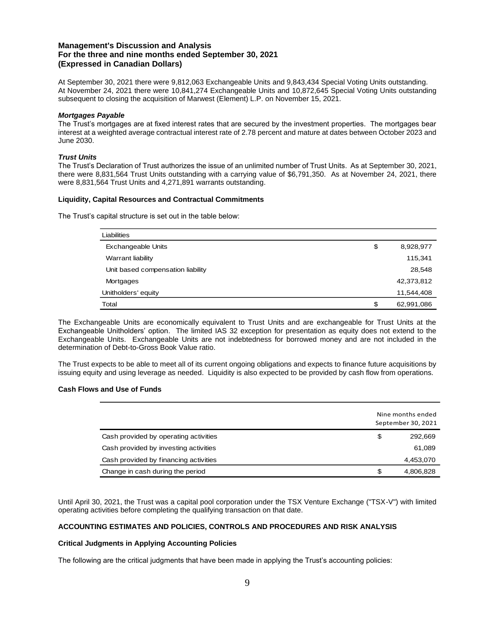At September 30, 2021 there were 9,812,063 Exchangeable Units and 9,843,434 Special Voting Units outstanding. At November 24, 2021 there were 10,841,274 Exchangeable Units and 10,872,645 Special Voting Units outstanding subsequent to closing the acquisition of Marwest (Element) L.P. on November 15, 2021.

### *Mortgages Payable*

The Trust's mortgages are at fixed interest rates that are secured by the investment properties. The mortgages bear interest at a weighted average contractual interest rate of 2.78 percent and mature at dates between October 2023 and June 2030.

### *Trust Units*

The Trust's Declaration of Trust authorizes the issue of an unlimited number of Trust Units. As at September 30, 2021, there were 8,831,564 Trust Units outstanding with a carrying value of \$6,791,350. As at November 24, 2021, there were 8,831,564 Trust Units and 4,271,891 warrants outstanding.

### **Liquidity, Capital Resources and Contractual Commitments**

The Trust's capital structure is set out in the table below:

| Liabilities                       |                  |
|-----------------------------------|------------------|
| <b>Exchangeable Units</b>         | \$<br>8,928,977  |
| Warrant liability                 | 115,341          |
| Unit based compensation liability | 28,548           |
| Mortgages                         | 42,373,812       |
| Unitholders' equity               | 11,544,408       |
| Total                             | \$<br>62,991,086 |

The Exchangeable Units are economically equivalent to Trust Units and are exchangeable for Trust Units at the Exchangeable Unitholders' option. The limited IAS 32 exception for presentation as equity does not extend to the Exchangeable Units. Exchangeable Units are not indebtedness for borrowed money and are not included in the determination of Debt-to-Gross Book Value ratio.

The Trust expects to be able to meet all of its current ongoing obligations and expects to finance future acquisitions by issuing equity and using leverage as needed. Liquidity is also expected to be provided by cash flow from operations.

#### **Cash Flows and Use of Funds**

|                                       | Nine months ended<br>September 30, 2021 |
|---------------------------------------|-----------------------------------------|
| Cash provided by operating activities | \$<br>292,669                           |
| Cash provided by investing activities | 61,089                                  |
| Cash provided by financing activities | 4,453,070                               |
| Change in cash during the period      | \$<br>4,806,828                         |

Until April 30, 2021, the Trust was a capital pool corporation under the TSX Venture Exchange ("TSX-V") with limited operating activities before completing the qualifying transaction on that date.

### **ACCOUNTING ESTIMATES AND POLICIES, CONTROLS AND PROCEDURES AND RISK ANALYSIS**

### **Critical Judgments in Applying Accounting Policies**

The following are the critical judgments that have been made in applying the Trust's accounting policies: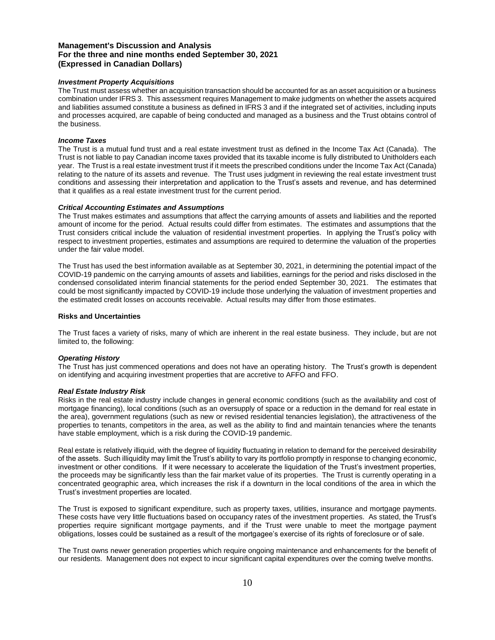#### *Investment Property Acquisitions*

The Trust must assess whether an acquisition transaction should be accounted for as an asset acquisition or a business combination under IFRS 3. This assessment requires Management to make judgments on whether the assets acquired and liabilities assumed constitute a business as defined in IFRS 3 and if the integrated set of activities, including inputs and processes acquired, are capable of being conducted and managed as a business and the Trust obtains control of the business.

#### *Income Taxes*

The Trust is a mutual fund trust and a real estate investment trust as defined in the Income Tax Act (Canada). The Trust is not liable to pay Canadian income taxes provided that its taxable income is fully distributed to Unitholders each year. The Trust is a real estate investment trust if it meets the prescribed conditions under the Income Tax Act (Canada) relating to the nature of its assets and revenue. The Trust uses judgment in reviewing the real estate investment trust conditions and assessing their interpretation and application to the Trust's assets and revenue, and has determined that it qualifies as a real estate investment trust for the current period.

# *Critical Accounting Estimates and Assumptions*

The Trust makes estimates and assumptions that affect the carrying amounts of assets and liabilities and the reported amount of income for the period. Actual results could differ from estimates. The estimates and assumptions that the Trust considers critical include the valuation of residential investment properties. In applying the Trust's policy with respect to investment properties, estimates and assumptions are required to determine the valuation of the properties under the fair value model.

The Trust has used the best information available as at September 30, 2021, in determining the potential impact of the COVID-19 pandemic on the carrying amounts of assets and liabilities, earnings for the period and risks disclosed in the condensed consolidated interim financial statements for the period ended September 30, 2021. The estimates that could be most significantly impacted by COVID-19 include those underlying the valuation of investment properties and the estimated credit losses on accounts receivable. Actual results may differ from those estimates.

#### **Risks and Uncertainties**

The Trust faces a variety of risks, many of which are inherent in the real estate business. They include, but are not limited to, the following:

### *Operating History*

The Trust has just commenced operations and does not have an operating history. The Trust's growth is dependent on identifying and acquiring investment properties that are accretive to AFFO and FFO.

#### *Real Estate Industry Risk*

Risks in the real estate industry include changes in general economic conditions (such as the availability and cost of mortgage financing), local conditions (such as an oversupply of space or a reduction in the demand for real estate in the area), government regulations (such as new or revised residential tenancies legislation), the attractiveness of the properties to tenants, competitors in the area, as well as the ability to find and maintain tenancies where the tenants have stable employment, which is a risk during the COVID-19 pandemic.

Real estate is relatively illiquid, with the degree of liquidity fluctuating in relation to demand for the perceived desirability of the assets. Such illiquidity may limit the Trust's ability to vary its portfolio promptly in response to changing economic, investment or other conditions. If it were necessary to accelerate the liquidation of the Trust's investment properties, the proceeds may be significantly less than the fair market value of its properties. The Trust is currently operating in a concentrated geographic area, which increases the risk if a downturn in the local conditions of the area in which the Trust's investment properties are located.

The Trust is exposed to significant expenditure, such as property taxes, utilities, insurance and mortgage payments. These costs have very little fluctuations based on occupancy rates of the investment properties. As stated, the Trust's properties require significant mortgage payments, and if the Trust were unable to meet the mortgage payment obligations, losses could be sustained as a result of the mortgagee's exercise of its rights of foreclosure or of sale.

The Trust owns newer generation properties which require ongoing maintenance and enhancements for the benefit of our residents. Management does not expect to incur significant capital expenditures over the coming twelve months.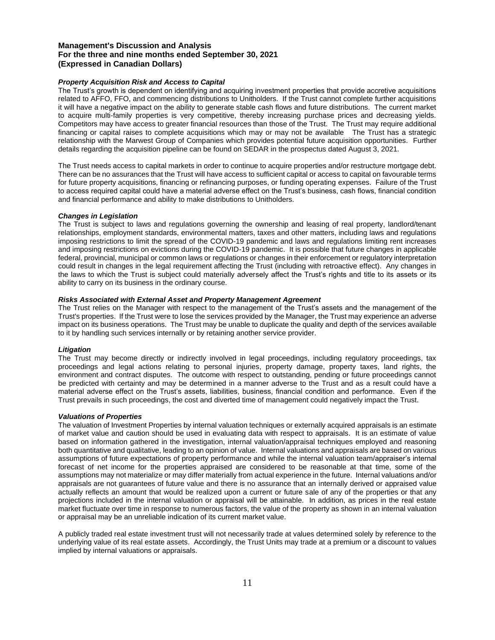### *Property Acquisition Risk and Access to Capital*

The Trust's growth is dependent on identifying and acquiring investment properties that provide accretive acquisitions related to AFFO, FFO, and commencing distributions to Unitholders. If the Trust cannot complete further acquisitions it will have a negative impact on the ability to generate stable cash flows and future distributions. The current market to acquire multi-family properties is very competitive, thereby increasing purchase prices and decreasing yields. Competitors may have access to greater financial resources than those of the Trust. The Trust may require additional financing or capital raises to complete acquisitions which may or may not be available The Trust has a strategic relationship with the Marwest Group of Companies which provides potential future acquisition opportunities. Further details regarding the acquisition pipeline can be found on SEDAR in the prospectus dated August 3, 2021.

The Trust needs access to capital markets in order to continue to acquire properties and/or restructure mortgage debt. There can be no assurances that the Trust will have access to sufficient capital or access to capital on favourable terms for future property acquisitions, financing or refinancing purposes, or funding operating expenses. Failure of the Trust to access required capital could have a material adverse effect on the Trust's business, cash flows, financial condition and financial performance and ability to make distributions to Unitholders.

#### *Changes in Legislation*

The Trust is subject to laws and regulations governing the ownership and leasing of real property, landlord/tenant relationships, employment standards, environmental matters, taxes and other matters, including laws and regulations imposing restrictions to limit the spread of the COVID-19 pandemic and laws and regulations limiting rent increases and imposing restrictions on evictions during the COVID-19 pandemic. It is possible that future changes in applicable federal, provincial, municipal or common laws or regulations or changes in their enforcement or regulatory interpretation could result in changes in the legal requirement affecting the Trust (including with retroactive effect). Any changes in the laws to which the Trust is subject could materially adversely affect the Trust's rights and title to its assets or its ability to carry on its business in the ordinary course.

#### *Risks Associated with External Asset and Property Management Agreement*

The Trust relies on the Manager with respect to the management of the Trust's assets and the management of the Trust's properties. If the Trust were to lose the services provided by the Manager, the Trust may experience an adverse impact on its business operations. The Trust may be unable to duplicate the quality and depth of the services available to it by handling such services internally or by retaining another service provider.

#### *Litigation*

The Trust may become directly or indirectly involved in legal proceedings, including regulatory proceedings, tax proceedings and legal actions relating to personal injuries, property damage, property taxes, land rights, the environment and contract disputes. The outcome with respect to outstanding, pending or future proceedings cannot be predicted with certainty and may be determined in a manner adverse to the Trust and as a result could have a material adverse effect on the Trust's assets, liabilities, business, financial condition and performance. Even if the Trust prevails in such proceedings, the cost and diverted time of management could negatively impact the Trust.

#### *Valuations of Properties*

The valuation of Investment Properties by internal valuation techniques or externally acquired appraisals is an estimate of market value and caution should be used in evaluating data with respect to appraisals. It is an estimate of value based on information gathered in the investigation, internal valuation/appraisal techniques employed and reasoning both quantitative and qualitative, leading to an opinion of value. Internal valuations and appraisals are based on various assumptions of future expectations of property performance and while the internal valuation team/appraiser's internal forecast of net income for the properties appraised are considered to be reasonable at that time, some of the assumptions may not materialize or may differ materially from actual experience in the future. Internal valuations and/or appraisals are not guarantees of future value and there is no assurance that an internally derived or appraised value actually reflects an amount that would be realized upon a current or future sale of any of the properties or that any projections included in the internal valuation or appraisal will be attainable. In addition, as prices in the real estate market fluctuate over time in response to numerous factors, the value of the property as shown in an internal valuation or appraisal may be an unreliable indication of its current market value.

A publicly traded real estate investment trust will not necessarily trade at values determined solely by reference to the underlying value of its real estate assets. Accordingly, the Trust Units may trade at a premium or a discount to values implied by internal valuations or appraisals.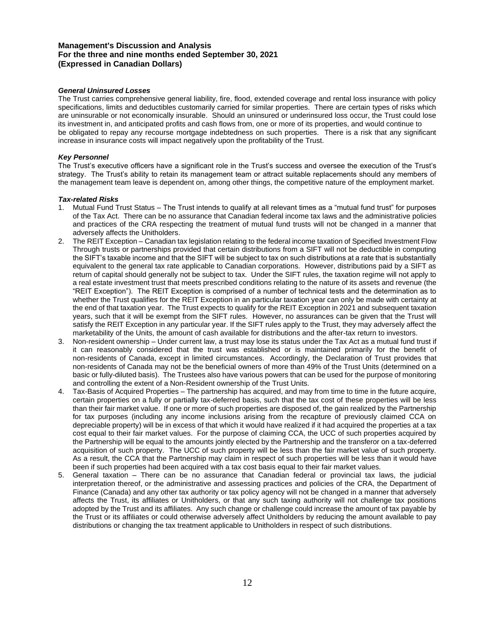### *General Uninsured Losses*

The Trust carries comprehensive general liability, fire, flood, extended coverage and rental loss insurance with policy specifications, limits and deductibles customarily carried for similar properties. There are certain types of risks which are uninsurable or not economically insurable. Should an uninsured or underinsured loss occur, the Trust could lose its investment in, and anticipated profits and cash flows from, one or more of its properties, and would continue to be obligated to repay any recourse mortgage indebtedness on such properties. There is a risk that any significant increase in insurance costs will impact negatively upon the profitability of the Trust.

### *Key Personnel*

The Trust's executive officers have a significant role in the Trust's success and oversee the execution of the Trust's strategy. The Trust's ability to retain its management team or attract suitable replacements should any members of the management team leave is dependent on, among other things, the competitive nature of the employment market.

### *Tax-related Risks*

- 1. Mutual Fund Trust Status The Trust intends to qualify at all relevant times as a "mutual fund trust" for purposes of the Tax Act. There can be no assurance that Canadian federal income tax laws and the administrative policies and practices of the CRA respecting the treatment of mutual fund trusts will not be changed in a manner that adversely affects the Unitholders.
- 2. The REIT Exception Canadian tax legislation relating to the federal income taxation of Specified Investment Flow Through trusts or partnerships provided that certain distributions from a SIFT will not be deductible in computing the SIFT's taxable income and that the SIFT will be subject to tax on such distributions at a rate that is substantially equivalent to the general tax rate applicable to Canadian corporations. However, distributions paid by a SIFT as return of capital should generally not be subject to tax. Under the SIFT rules, the taxation regime will not apply to a real estate investment trust that meets prescribed conditions relating to the nature of its assets and revenue (the "REIT Exception"). The REIT Exception is comprised of a number of technical tests and the determination as to whether the Trust qualifies for the REIT Exception in an particular taxation year can only be made with certainty at the end of that taxation year. The Trust expects to qualify for the REIT Exception in 2021 and subsequent taxation years, such that it will be exempt from the SIFT rules. However, no assurances can be given that the Trust will satisfy the REIT Exception in any particular year. If the SIFT rules apply to the Trust, they may adversely affect the marketability of the Units, the amount of cash available for distributions and the after-tax return to investors.
- 3. Non-resident ownership Under current law, a trust may lose its status under the Tax Act as a mutual fund trust if it can reasonably considered that the trust was established or is maintained primarily for the benefit of non-residents of Canada, except in limited circumstances. Accordingly, the Declaration of Trust provides that non-residents of Canada may not be the beneficial owners of more than 49% of the Trust Units (determined on a basic or fully-diluted basis). The Trustees also have various powers that can be used for the purpose of monitoring and controlling the extent of a Non-Resident ownership of the Trust Units.
- 4. Tax-Basis of Acquired Properties The partnership has acquired, and may from time to time in the future acquire, certain properties on a fully or partially tax-deferred basis, such that the tax cost of these properties will be less than their fair market value. If one or more of such properties are disposed of, the gain realized by the Partnership for tax purposes (including any income inclusions arising from the recapture of previously claimed CCA on depreciable property) will be in excess of that which it would have realized if it had acquired the properties at a tax cost equal to their fair market values. For the purpose of claiming CCA, the UCC of such properties acquired by the Partnership will be equal to the amounts jointly elected by the Partnership and the transferor on a tax-deferred acquisition of such property. The UCC of such property will be less than the fair market value of such property. As a result, the CCA that the Partnership may claim in respect of such properties will be less than it would have been if such properties had been acquired with a tax cost basis equal to their fair market values.
- 5. General taxation There can be no assurance that Canadian federal or provincial tax laws, the judicial interpretation thereof, or the administrative and assessing practices and policies of the CRA, the Department of Finance (Canada) and any other tax authority or tax policy agency will not be changed in a manner that adversely affects the Trust, its affiliates or Unitholders, or that any such taxing authority will not challenge tax positions adopted by the Trust and its affiliates. Any such change or challenge could increase the amount of tax payable by the Trust or its affiliates or could otherwise adversely affect Unitholders by reducing the amount available to pay distributions or changing the tax treatment applicable to Unitholders in respect of such distributions.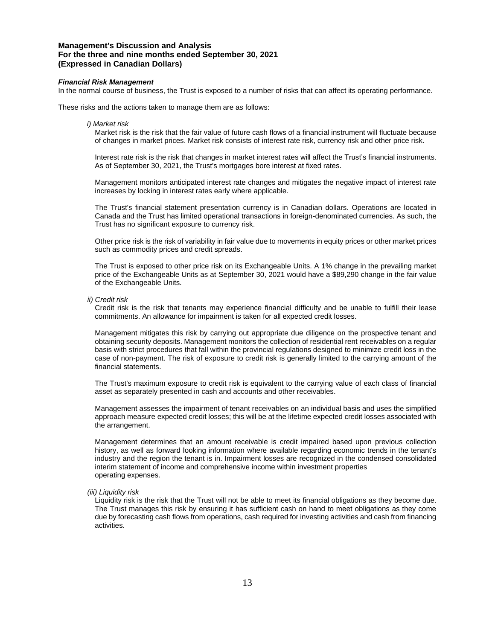#### *Financial Risk Management*

In the normal course of business, the Trust is exposed to a number of risks that can affect its operating performance.

These risks and the actions taken to manage them are as follows:

*i) Market risk*

Market risk is the risk that the fair value of future cash flows of a financial instrument will fluctuate because of changes in market prices. Market risk consists of interest rate risk, currency risk and other price risk.

Interest rate risk is the risk that changes in market interest rates will affect the Trust's financial instruments. As of September 30, 2021, the Trust's mortgages bore interest at fixed rates.

Management monitors anticipated interest rate changes and mitigates the negative impact of interest rate increases by locking in interest rates early where applicable.

The Trust's financial statement presentation currency is in Canadian dollars. Operations are located in Canada and the Trust has limited operational transactions in foreign-denominated currencies. As such, the Trust has no significant exposure to currency risk.

Other price risk is the risk of variability in fair value due to movements in equity prices or other market prices such as commodity prices and credit spreads.

The Trust is exposed to other price risk on its Exchangeable Units. A 1% change in the prevailing market price of the Exchangeable Units as at September 30, 2021 would have a \$89,290 change in the fair value of the Exchangeable Units.

*ii) Credit risk*

Credit risk is the risk that tenants may experience financial difficulty and be unable to fulfill their lease commitments. An allowance for impairment is taken for all expected credit losses.

Management mitigates this risk by carrying out appropriate due diligence on the prospective tenant and obtaining security deposits. Management monitors the collection of residential rent receivables on a regular basis with strict procedures that fall within the provincial regulations designed to minimize credit loss in the case of non-payment. The risk of exposure to credit risk is generally limited to the carrying amount of the financial statements.

The Trust's maximum exposure to credit risk is equivalent to the carrying value of each class of financial asset as separately presented in cash and accounts and other receivables.

Management assesses the impairment of tenant receivables on an individual basis and uses the simplified approach measure expected credit losses; this will be at the lifetime expected credit losses associated with the arrangement.

Management determines that an amount receivable is credit impaired based upon previous collection history, as well as forward looking information where available regarding economic trends in the tenant's industry and the region the tenant is in. Impairment losses are recognized in the condensed consolidated interim statement of income and comprehensive income within investment properties operating expenses.

#### *(iii) Liquidity risk*

Liquidity risk is the risk that the Trust will not be able to meet its financial obligations as they become due. The Trust manages this risk by ensuring it has sufficient cash on hand to meet obligations as they come due by forecasting cash flows from operations, cash required for investing activities and cash from financing activities.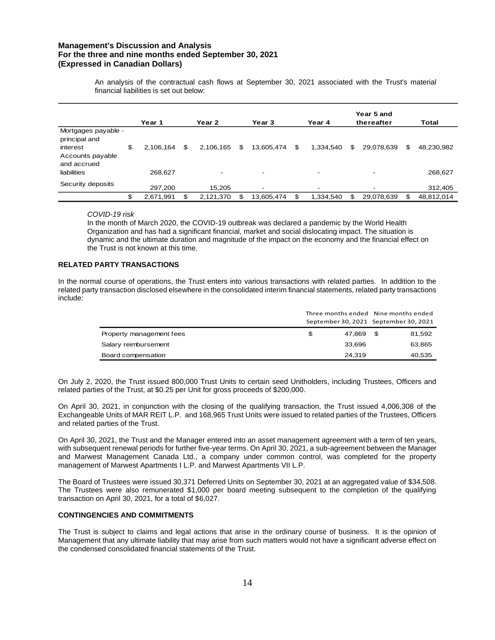An analysis of the contractual cash flows at September 30, 2021 associated with the Trust's material financial liabilities is set out below:

|                                                                      | Year 1          | Year 2          |     | Year <sub>3</sub>        | Year 4          |    | Year 5 and<br>thereafter |     | Total      |
|----------------------------------------------------------------------|-----------------|-----------------|-----|--------------------------|-----------------|----|--------------------------|-----|------------|
| Mortgages payable -<br>principal and<br>interest<br>Accounts payable | \$<br>2.106.164 | \$<br>2.106.165 | \$  | 13,605,474               | \$<br>1,334,540 | \$ | 29,078,639               | S   | 48,230,982 |
| and accrued<br>liabilities                                           | 268,627         | $\overline{a}$  |     | $\overline{\phantom{a}}$ | -               |    | -                        |     | 268,627    |
| Security deposits                                                    | 297.200         | 15.205          |     | $\overline{\phantom{a}}$ |                 |    |                          |     | 312,405    |
|                                                                      | \$<br>2,671,991 | \$<br>2,121,370 | \$. | 13,605,474               | \$<br>1,334,540 | S  | 29,078,639               | \$. | 48,812,014 |

#### *COVID-19 risk*

In the month of March 2020, the COVID-19 outbreak was declared a pandemic by the World Health Organization and has had a significant financial, market and social dislocating impact. The situation is dynamic and the ultimate duration and magnitude of the impact on the economy and the financial effect on the Trust is not known at this time.

#### **RELATED PARTY TRANSACTIONS**

In the normal course of operations, the Trust enters into various transactions with related parties. In addition to the related party transaction disclosed elsewhere in the consolidated interim financial statements, related party transactions include:

|                          | Three months ended Nine months ended<br>September 30, 2021 September 30, 2021 |        |      |        |
|--------------------------|-------------------------------------------------------------------------------|--------|------|--------|
| Property management fees |                                                                               | 47.869 | - \$ | 81.592 |
| Salary reimbursement     |                                                                               | 33.696 |      | 63,865 |
| Board compensation       |                                                                               | 24.319 |      | 40,535 |

On July 2, 2020, the Trust issued 800,000 Trust Units to certain seed Unitholders, including Trustees, Officers and related parties of the Trust, at \$0.25 per Unit for gross proceeds of \$200,000.

On April 30, 2021, in conjunction with the closing of the qualifying transaction, the Trust issued 4,006,308 of the Exchangeable Units of MAR REIT L.P. and 168,965 Trust Units were issued to related parties of the Trustees, Officers and related parties of the Trust.

On April 30, 2021, the Trust and the Manager entered into an asset management agreement with a term of ten years, with subsequent renewal periods for further five-year terms. On April 30, 2021, a sub-agreement between the Manager and Marwest Management Canada Ltd., a company under common control, was completed for the property management of Marwest Apartments I L.P. and Marwest Apartments VII L.P.

The Board of Trustees were issued 30,371 Deferred Units on September 30, 2021 at an aggregated value of \$34,508. The Trustees were also remunerated \$1,000 per board meeting subsequent to the completion of the qualifying transaction on April 30, 2021, for a total of \$6,027.

### **CONTINGENCIES AND COMMITMENTS**

The Trust is subject to claims and legal actions that arise in the ordinary course of business. It is the opinion of Management that any ultimate liability that may arise from such matters would not have a significant adverse effect on the condensed consolidated financial statements of the Trust.